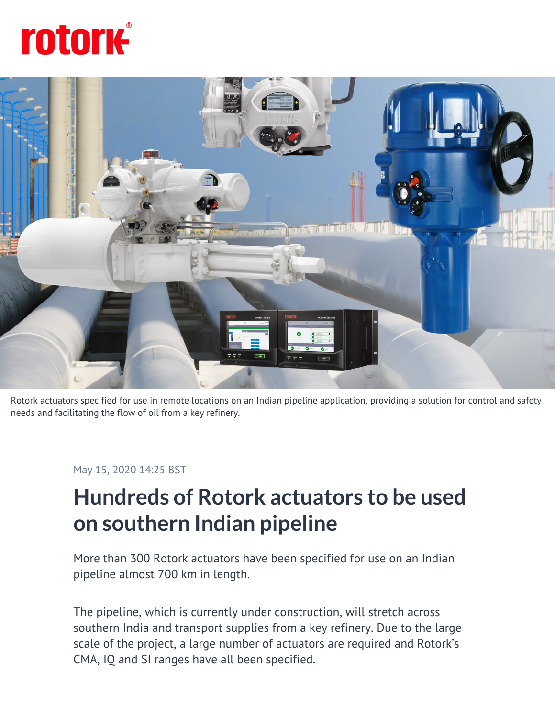# **rotork**



Rotork actuators specified for use in remote locations on an Indian pipeline application, providing a solution for control and safety needs and facilitating the flow of oil from a key refinery.

May 15, 2020 14:25 BST

# **Hundreds of Rotork actuators to be used on southern Indian pipeline**

More than 300 Rotork actuators have been specified for use on an Indian pipeline almost 700 km in length.

The pipeline, which is currently under construction, will stretch across southern India and transport supplies from a key refinery. Due to the large scale of the project, a large number of actuators are required and Rotork's CMA, IQ and SI ranges have all been specified.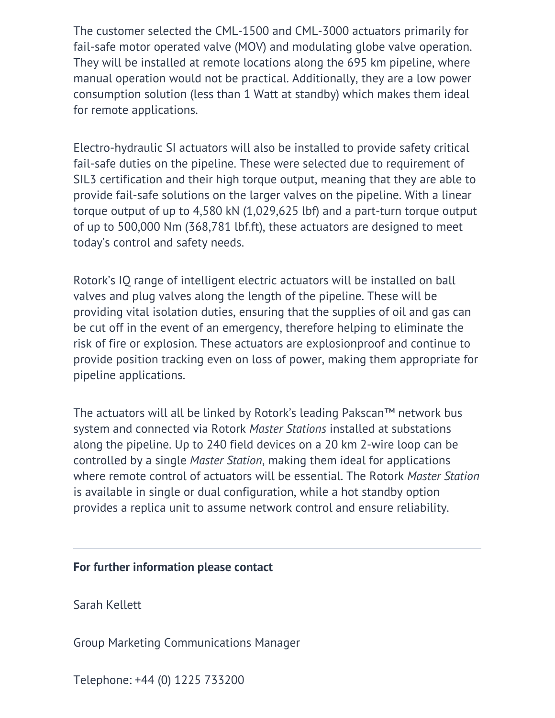The customer selected the CML-1500 and CML-3000 actuators primarily for fail-safe motor operated valve (MOV) and modulating globe valve operation. They will be installed at remote locations along the 695 km pipeline, where manual operation would not be practical. Additionally, they are a low power consumption solution (less than 1 Watt at standby) which makes them ideal for remote applications.

Electro-hydraulic SI actuators will also be installed to provide safety critical fail-safe duties on the pipeline. These were selected due to requirement of SIL3 certification and their high torque output, meaning that they are able to provide fail-safe solutions on the larger valves on the pipeline. With a linear torque output of up to 4,580 kN (1,029,625 lbf) and a part-turn torque output of up to 500,000 Nm (368,781 lbf.ft), these actuators are designed to meet today's control and safety needs.

Rotork's IQ range of intelligent electric actuators will be installed on ball valves and plug valves along the length of the pipeline. These will be providing vital isolation duties, ensuring that the supplies of oil and gas can be cut off in the event of an emergency, therefore helping to eliminate the risk of fire or explosion. These actuators are explosionproof and continue to provide position tracking even on loss of power, making them appropriate for pipeline applications.

The actuators will all be linked by Rotork's leading Pakscan™ network bus system and connected via Rotork *Master Stations* installed at substations along the pipeline. Up to 240 field devices on a 20 km 2-wire loop can be controlled by a single *Master Station*, making them ideal for applications where remote control of actuators will be essential. The Rotork *Master Station* is available in single or dual configuration, while a hot standby option provides a replica unit to assume network control and ensure reliability.

#### **For further information please contact**

Sarah Kellett

Group Marketing Communications Manager

Telephone: +44 (0) 1225 733200